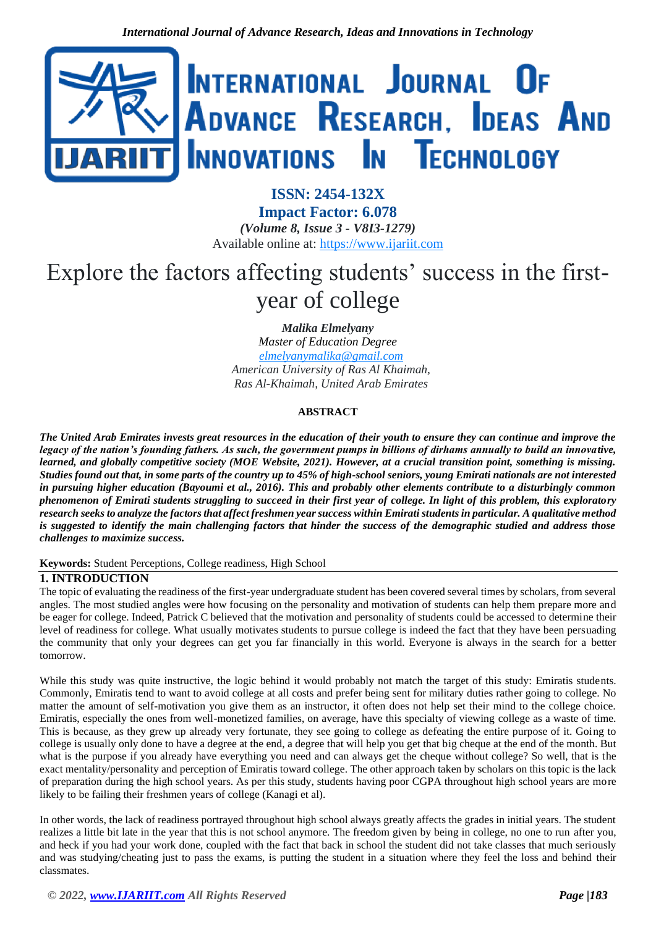

**ISSN: 2454-132X Impact Factor: 6.078** *(Volume 8, Issue 3 - V8I3-1279)* Available online at: [https://www.ijariit.com](https://www.ijariit.com/?utm_source=pdf&utm_medium=edition&utm_campaign=OmAkSols&utm_term=V8I3-1279)

# Explore the factors affecting students' success in the firstyear of college

*Malika Elmelyany*

*Master of Education Degree [elmelyanymalika@gmail.com](mailto:elmelyanymalika@gmail.com) American University of Ras Al Khaimah, Ras Al-Khaimah, United Arab Emirates*

# **ABSTRACT**

*The United Arab Emirates invests great resources in the education of their youth to ensure they can continue and improve the legacy of the nation's founding fathers. As such, the government pumps in billions of dirhams annually to build an innovative, learned, and globally competitive society (MOE Website, 2021). However, at a crucial transition point, something is missing. Studies found out that, in some parts of the country up to 45% of high-school seniors, young Emirati nationals are not interested in pursuing higher education (Bayoumi et al., 2016). This and probably other elements contribute to a disturbingly common phenomenon of Emirati students struggling to succeed in their first year of college. In light of this problem, this exploratory research seeks to analyze the factors that affect freshmen year success within Emirati students in particular. A qualitative method is suggested to identify the main challenging factors that hinder the success of the demographic studied and address those challenges to maximize success.*

#### **Keywords:** Student Perceptions, College readiness, High School

## **1. INTRODUCTION**

The topic of evaluating the readiness of the first-year undergraduate student has been covered several times by scholars, from several angles. The most studied angles were how focusing on the personality and motivation of students can help them prepare more and be eager for college. Indeed, Patrick C believed that the motivation and personality of students could be accessed to determine their level of readiness for college. What usually motivates students to pursue college is indeed the fact that they have been persuading the community that only your degrees can get you far financially in this world. Everyone is always in the search for a better tomorrow.

While this study was quite instructive, the logic behind it would probably not match the target of this study: Emiratis students. Commonly, Emiratis tend to want to avoid college at all costs and prefer being sent for military duties rather going to college. No matter the amount of self-motivation you give them as an instructor, it often does not help set their mind to the college choice. Emiratis, especially the ones from well-monetized families, on average, have this specialty of viewing college as a waste of time. This is because, as they grew up already very fortunate, they see going to college as defeating the entire purpose of it. Going to college is usually only done to have a degree at the end, a degree that will help you get that big cheque at the end of the month. But what is the purpose if you already have everything you need and can always get the cheque without college? So well, that is the exact mentality/personality and perception of Emiratis toward college. The other approach taken by scholars on this topic is the lack of preparation during the high school years. As per this study, students having poor CGPA throughout high school years are more likely to be failing their freshmen years of college (Kanagi et al).

In other words, the lack of readiness portrayed throughout high school always greatly affects the grades in initial years. The student realizes a little bit late in the year that this is not school anymore. The freedom given by being in college, no one to run after you, and heck if you had your work done, coupled with the fact that back in school the student did not take classes that much seriously and was studying/cheating just to pass the exams, is putting the student in a situation where they feel the loss and behind their classmates.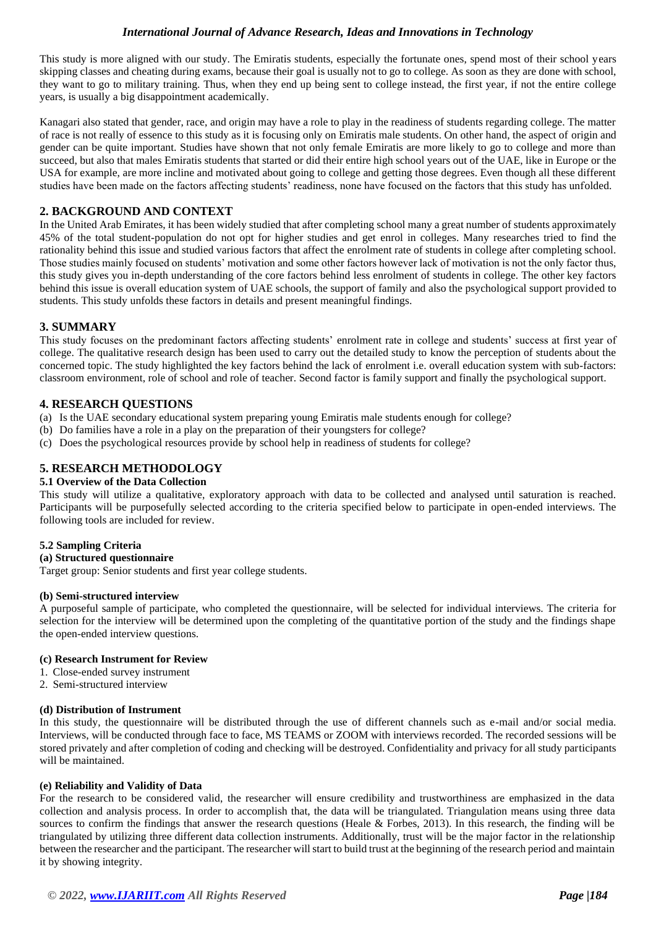This study is more aligned with our study. The Emiratis students, especially the fortunate ones, spend most of their school years skipping classes and cheating during exams, because their goal is usually not to go to college. As soon as they are done with school, they want to go to military training. Thus, when they end up being sent to college instead, the first year, if not the entire college years, is usually a big disappointment academically.

Kanagari also stated that gender, race, and origin may have a role to play in the readiness of students regarding college. The matter of race is not really of essence to this study as it is focusing only on Emiratis male students. On other hand, the aspect of origin and gender can be quite important. Studies have shown that not only female Emiratis are more likely to go to college and more than succeed, but also that males Emiratis students that started or did their entire high school years out of the UAE, like in Europe or the USA for example, are more incline and motivated about going to college and getting those degrees. Even though all these different studies have been made on the factors affecting students' readiness, none have focused on the factors that this study has unfolded.

# **2. BACKGROUND AND CONTEXT**

In the United Arab Emirates, it has been widely studied that after completing school many a great number of students approximately 45% of the total student-population do not opt for higher studies and get enrol in colleges. Many researches tried to find the rationality behind this issue and studied various factors that affect the enrolment rate of students in college after completing school. Those studies mainly focused on students' motivation and some other factors however lack of motivation is not the only factor thus, this study gives you in-depth understanding of the core factors behind less enrolment of students in college. The other key factors behind this issue is overall education system of UAE schools, the support of family and also the psychological support provided to students. This study unfolds these factors in details and present meaningful findings.

## **3. SUMMARY**

This study focuses on the predominant factors affecting students' enrolment rate in college and students' success at first year of college. The qualitative research design has been used to carry out the detailed study to know the perception of students about the concerned topic. The study highlighted the key factors behind the lack of enrolment i.e. overall education system with sub-factors: classroom environment, role of school and role of teacher. Second factor is family support and finally the psychological support.

## **4. RESEARCH QUESTIONS**

- (a) Is the UAE secondary educational system preparing young Emiratis male students enough for college?
- (b) Do families have a role in a play on the preparation of their youngsters for college?
- (c) Does the psychological resources provide by school help in readiness of students for college?

## **5. RESEARCH METHODOLOGY**

#### **5.1 Overview of the Data Collection**

This study will utilize a qualitative, exploratory approach with data to be collected and analysed until saturation is reached. Participants will be purposefully selected according to the criteria specified below to participate in open-ended interviews. The following tools are included for review.

#### **5.2 Sampling Criteria**

#### **(a) Structured questionnaire**

Target group: Senior students and first year college students.

#### **(b) Semi-structured interview**

A purposeful sample of participate, who completed the questionnaire, will be selected for individual interviews. The criteria for selection for the interview will be determined upon the completing of the quantitative portion of the study and the findings shape the open-ended interview questions.

#### **(c) Research Instrument for Review**

- 1. Close-ended survey instrument
- 2. Semi-structured interview

#### **(d) Distribution of Instrument**

In this study, the questionnaire will be distributed through the use of different channels such as e-mail and/or social media. Interviews, will be conducted through face to face, MS TEAMS or ZOOM with interviews recorded. The recorded sessions will be stored privately and after completion of coding and checking will be destroyed. Confidentiality and privacy for all study participants will be maintained.

#### **(e) Reliability and Validity of Data**

For the research to be considered valid, the researcher will ensure credibility and trustworthiness are emphasized in the data collection and analysis process. In order to accomplish that, the data will be triangulated. Triangulation means using three data sources to confirm the findings that answer the research questions (Heale & Forbes, 2013). In this research, the finding will be triangulated by utilizing three different data collection instruments. Additionally, trust will be the major factor in the relationship between the researcher and the participant. The researcher will start to build trust at the beginning of the research period and maintain it by showing integrity.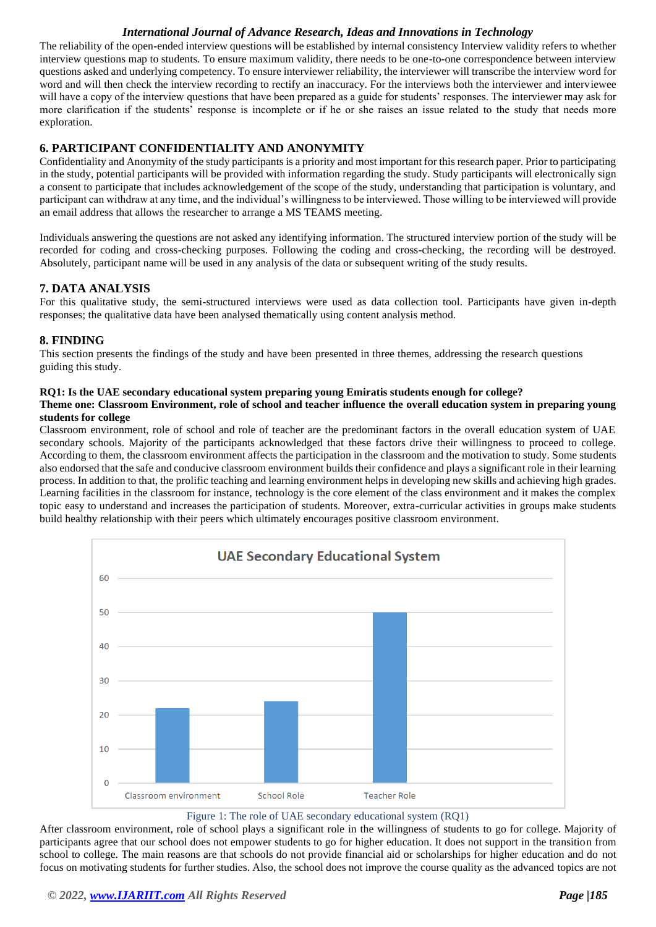The reliability of the open-ended interview questions will be established by internal consistency Interview validity refers to whether interview questions map to students. To ensure maximum validity, there needs to be one-to-one correspondence between interview questions asked and underlying competency. To ensure interviewer reliability, the interviewer will transcribe the interview word for word and will then check the interview recording to rectify an inaccuracy. For the interviews both the interviewer and interviewee will have a copy of the interview questions that have been prepared as a guide for students' responses. The interviewer may ask for more clarification if the students' response is incomplete or if he or she raises an issue related to the study that needs more exploration.

# **6. PARTICIPANT CONFIDENTIALITY AND ANONYMITY**

Confidentiality and Anonymity of the study participants is a priority and most important for this research paper. Prior to participating in the study, potential participants will be provided with information regarding the study. Study participants will electronically sign a consent to participate that includes acknowledgement of the scope of the study, understanding that participation is voluntary, and participant can withdraw at any time, and the individual's willingness to be interviewed. Those willing to be interviewed will provide an email address that allows the researcher to arrange a MS TEAMS meeting.

Individuals answering the questions are not asked any identifying information. The structured interview portion of the study will be recorded for coding and cross-checking purposes. Following the coding and cross-checking, the recording will be destroyed. Absolutely, participant name will be used in any analysis of the data or subsequent writing of the study results.

# **7. DATA ANALYSIS**

For this qualitative study, the semi-structured interviews were used as data collection tool. Participants have given in-depth responses; the qualitative data have been analysed thematically using content analysis method.

## **8. FINDING**

This section presents the findings of the study and have been presented in three themes, addressing the research questions guiding this study.

## **RQ1: Is the UAE secondary educational system preparing young Emiratis students enough for college?**

### **Theme one: Classroom Environment, role of school and teacher influence the overall education system in preparing young students for college**

Classroom environment, role of school and role of teacher are the predominant factors in the overall education system of UAE secondary schools. Majority of the participants acknowledged that these factors drive their willingness to proceed to college. According to them, the classroom environment affects the participation in the classroom and the motivation to study. Some students also endorsed that the safe and conducive classroom environment builds their confidence and plays a significant role in their learning process. In addition to that, the prolific teaching and learning environment helps in developing new skills and achieving high grades. Learning facilities in the classroom for instance, technology is the core element of the class environment and it makes the complex topic easy to understand and increases the participation of students. Moreover, extra-curricular activities in groups make students build healthy relationship with their peers which ultimately encourages positive classroom environment.



#### Figure 1: The role of UAE secondary educational system (RQ1)

After classroom environment, role of school plays a significant role in the willingness of students to go for college. Majority of participants agree that our school does not empower students to go for higher education. It does not support in the transition from school to college. The main reasons are that schools do not provide financial aid or scholarships for higher education and do not focus on motivating students for further studies. Also, the school does not improve the course quality as the advanced topics are not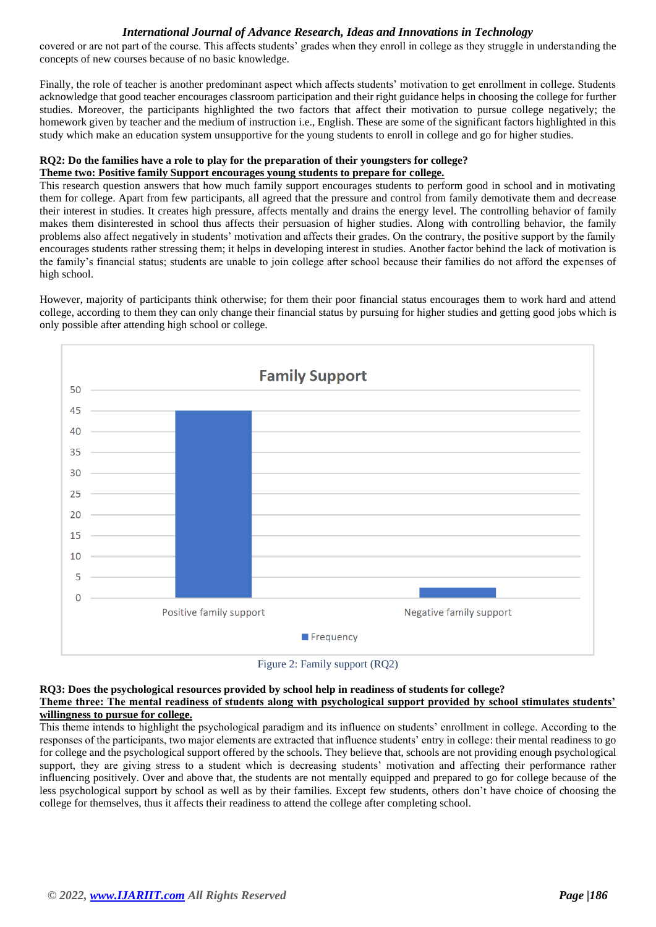covered or are not part of the course. This affects students' grades when they enroll in college as they struggle in understanding the concepts of new courses because of no basic knowledge.

Finally, the role of teacher is another predominant aspect which affects students' motivation to get enrollment in college. Students acknowledge that good teacher encourages classroom participation and their right guidance helps in choosing the college for further studies. Moreover, the participants highlighted the two factors that affect their motivation to pursue college negatively; the homework given by teacher and the medium of instruction i.e., English. These are some of the significant factors highlighted in this study which make an education system unsupportive for the young students to enroll in college and go for higher studies.

# **RQ2: Do the families have a role to play for the preparation of their youngsters for college?**

## **Theme two: Positive family Support encourages young students to prepare for college.**

This research question answers that how much family support encourages students to perform good in school and in motivating them for college. Apart from few participants, all agreed that the pressure and control from family demotivate them and decrease their interest in studies. It creates high pressure, affects mentally and drains the energy level. The controlling behavior of family makes them disinterested in school thus affects their persuasion of higher studies. Along with controlling behavior, the family problems also affect negatively in students' motivation and affects their grades. On the contrary, the positive support by the family encourages students rather stressing them; it helps in developing interest in studies. Another factor behind the lack of motivation is the family's financial status; students are unable to join college after school because their families do not afford the expenses of high school.

However, majority of participants think otherwise; for them their poor financial status encourages them to work hard and attend college, according to them they can only change their financial status by pursuing for higher studies and getting good jobs which is only possible after attending high school or college.





### **RQ3: Does the psychological resources provided by school help in readiness of students for college? Theme three: The mental readiness of students along with psychological support provided by school stimulates students' willingness to pursue for college.**

This theme intends to highlight the psychological paradigm and its influence on students' enrollment in college. According to the responses of the participants, two major elements are extracted that influence students' entry in college: their mental readiness to go for college and the psychological support offered by the schools. They believe that, schools are not providing enough psychological support, they are giving stress to a student which is decreasing students' motivation and affecting their performance rather influencing positively. Over and above that, the students are not mentally equipped and prepared to go for college because of the less psychological support by school as well as by their families. Except few students, others don't have choice of choosing the college for themselves, thus it affects their readiness to attend the college after completing school.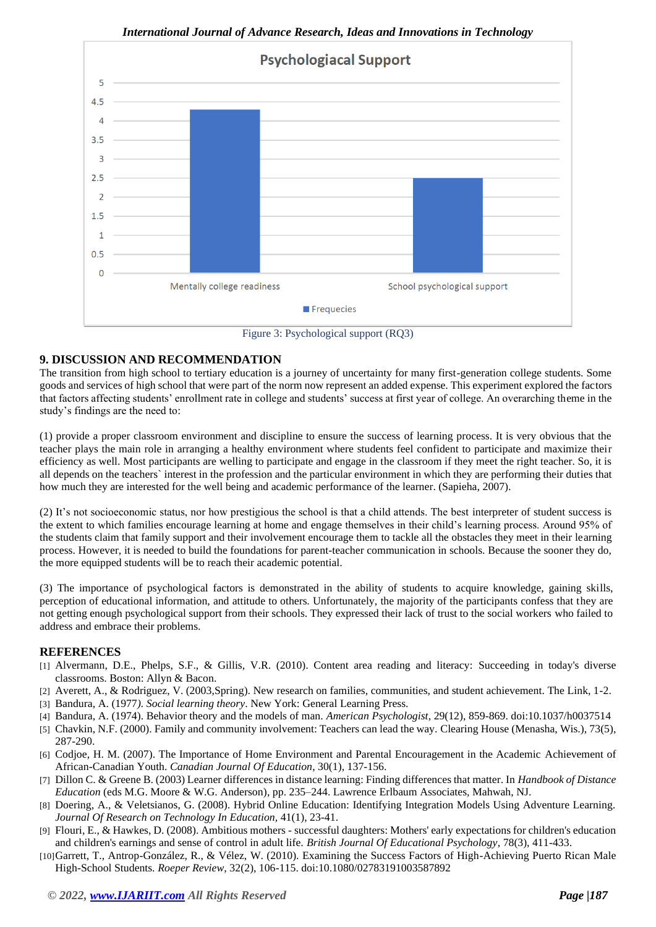

*International Journal of Advance Research, Ideas and Innovations in Technology*

Figure 3: Psychological support (RQ3)

# **9. DISCUSSION AND RECOMMENDATION**

The transition from high school to tertiary education is a journey of uncertainty for many first-generation college students. Some goods and services of high school that were part of the norm now represent an added expense. This experiment explored the factors that factors affecting students' enrollment rate in college and students' success at first year of college. An overarching theme in the study's findings are the need to:

(1) provide a proper classroom environment and discipline to ensure the success of learning process. It is very obvious that the teacher plays the main role in arranging a healthy environment where students feel confident to participate and maximize their efficiency as well. Most participants are welling to participate and engage in the classroom if they meet the right teacher. So, it is all depends on the teachers` interest in the profession and the particular environment in which they are performing their duties that how much they are interested for the well being and academic performance of the learner. (Sapieha, 2007).

(2) It's not socioeconomic status, nor how prestigious the school is that a child attends. The best interpreter of student success is the extent to which families encourage learning at home and engage themselves in their child's learning process. Around 95% of the students claim that family support and their involvement encourage them to tackle all the obstacles they meet in their learning process. However, it is needed to build the foundations for parent-teacher communication in schools. Because the sooner they do, the more equipped students will be to reach their academic potential.

(3) The importance of psychological factors is demonstrated in the ability of students to acquire knowledge, gaining skills, perception of educational information, and attitude to others. Unfortunately, the majority of the participants confess that they are not getting enough psychological support from their schools. They expressed their lack of trust to the social workers who failed to address and embrace their problems.

## **REFERENCES**

- [1] Alvermann, D.E., Phelps, S.F., & Gillis, V.R. (2010). Content area reading and literacy: Succeeding in today's diverse classrooms. Boston: Allyn & Bacon.
- [2] Averett, A., & Rodriguez, V. (2003,Spring). New research on families, communities, and student achievement. The Link, 1-2.
- [3] Bandura, A. (1977*). Social learning theory*. New York: General Learning Press.
- [4] Bandura, A. (1974). Behavior theory and the models of man. *American Psychologist*, 29(12), 859-869. doi:10.1037/h0037514
- [5] Chavkin, N.F. (2000). Family and community involvement: Teachers can lead the way. Clearing House (Menasha, Wis.), 73(5), 287-290.
- [6] Codjoe, H. M. (2007). The Importance of Home Environment and Parental Encouragement in the Academic Achievement of African-Canadian Youth. *Canadian Journal Of Education*, 30(1), 137-156.
- [7] Dillon C. & Greene B. (2003) Learner differences in distance learning: Finding differences that matter. In *Handbook of Distance Education* (eds M.G. Moore & W.G. Anderson), pp. 235–244. Lawrence Erlbaum Associates, Mahwah, NJ.
- [8] Doering, A., & Veletsianos, G. (2008). Hybrid Online Education: Identifying Integration Models Using Adventure Learning. *Journal Of Research on Technology In Education,* 41(1), 23-41.
- [9] Flouri, E., & Hawkes, D. (2008). Ambitious mothers successful daughters: Mothers' early expectations for children's education and children's earnings and sense of control in adult life. *British Journal Of Educational Psychology*, 78(3), 411-433.
- [10]Garrett, T., Antrop-González, R., & Vélez, W. (2010). Examining the Success Factors of High-Achieving Puerto Rican Male High-School Students. *Roeper Review*, 32(2), 106-115. doi:10.1080/02783191003587892